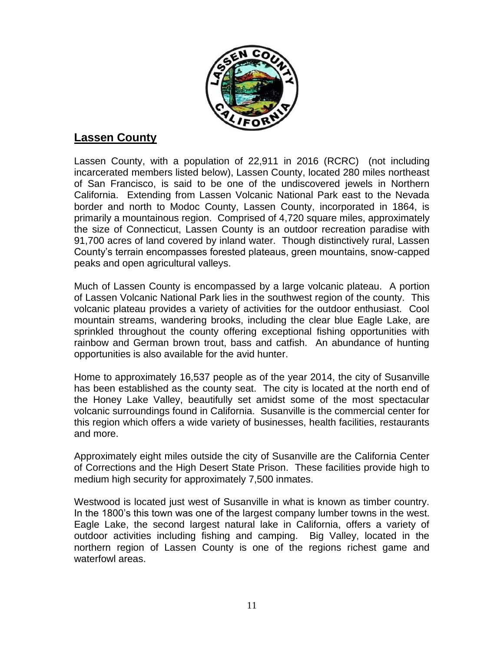

# **Lassen County**

Lassen County, with a population of 22,911 in 2016 (RCRC) (not including incarcerated members listed below), Lassen County, located 280 miles northeast of San Francisco, is said to be one of the undiscovered jewels in Northern California. Extending from Lassen Volcanic National Park east to the Nevada border and north to Modoc County, Lassen County, incorporated in 1864, is primarily a mountainous region. Comprised of 4,720 square miles, approximately the size of Connecticut, Lassen County is an outdoor recreation paradise with 91,700 acres of land covered by inland water. Though distinctively rural, Lassen County's terrain encompasses forested plateaus, green mountains, snow-capped peaks and open agricultural valleys.

Much of Lassen County is encompassed by a large volcanic plateau. A portion of Lassen Volcanic National Park lies in the southwest region of the county. This volcanic plateau provides a variety of activities for the outdoor enthusiast. Cool mountain streams, wandering brooks, including the clear blue Eagle Lake, are sprinkled throughout the county offering exceptional fishing opportunities with rainbow and German brown trout, bass and catfish. An abundance of hunting opportunities is also available for the avid hunter.

Home to approximately 16,537 people as of the year 2014, the city of Susanville has been established as the county seat. The city is located at the north end of the Honey Lake Valley, beautifully set amidst some of the most spectacular volcanic surroundings found in California. Susanville is the commercial center for this region which offers a wide variety of businesses, health facilities, restaurants and more.

Approximately eight miles outside the city of Susanville are the California Center of Corrections and the High Desert State Prison. These facilities provide high to medium high security for approximately 7,500 inmates.

Westwood is located just west of Susanville in what is known as timber country. In the 1800's this town was one of the largest company lumber towns in the west. Eagle Lake, the second largest natural lake in California, offers a variety of outdoor activities including fishing and camping. Big Valley, located in the northern region of Lassen County is one of the regions richest game and waterfowl areas.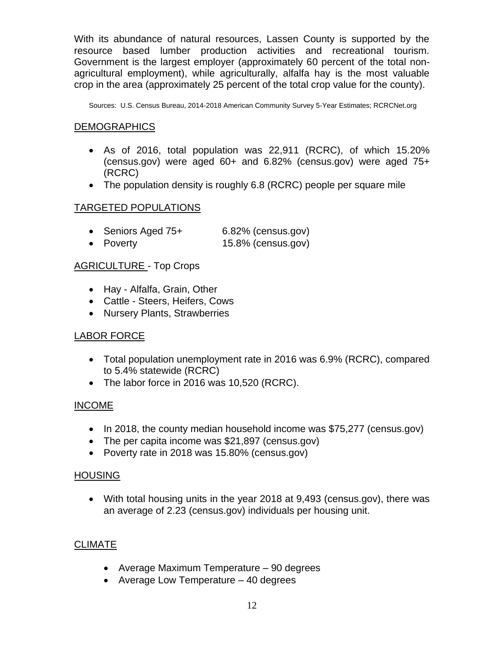With its abundance of natural resources, Lassen County is supported by the resource based lumber production activities and recreational tourism. Government is the largest employer (approximately 60 percent of the total nonagricultural employment), while agriculturally, alfalfa hay is the most valuable crop in the area (approximately 25 percent of the total crop value for the county).

Sources: U.S. Census Bureau, 2014-2018 American Community Survey 5-Year Estimates; RCRCNet.org

#### DEMOGRAPHICS

- As of 2016, total population was 22,911 (RCRC), of which 15.20% (census.gov) were aged 60+ and 6.82% (census.gov) were aged 75+ (RCRC)
- The population density is roughly 6.8 (RCRC) people per square mile

## TARGETED POPULATIONS

| • Seniors Aged 75+ | 6.82% (census.gov) |
|--------------------|--------------------|
| • Poverty          | 15.8% (census.gov) |

## AGRICULTURE - Top Crops

- Hay Alfalfa, Grain, Other
- Cattle Steers, Heifers, Cows
- Nursery Plants, Strawberries

## LABOR FORCE

- Total population unemployment rate in 2016 was 6.9% (RCRC), compared to 5.4% statewide (RCRC)
- The labor force in 2016 was 10,520 (RCRC).

## INCOME

- In 2018, the county median household income was \$75,277 (census.gov)
- The per capita income was \$21,897 (census.gov)
- Poverty rate in 2018 was 15.80% (census.gov)

#### HOUSING

• With total housing units in the year 2018 at 9,493 (census.gov), there was an average of 2.23 (census.gov) individuals per housing unit.

## **CLIMATE**

- Average Maximum Temperature 90 degrees
- Average Low Temperature 40 degrees